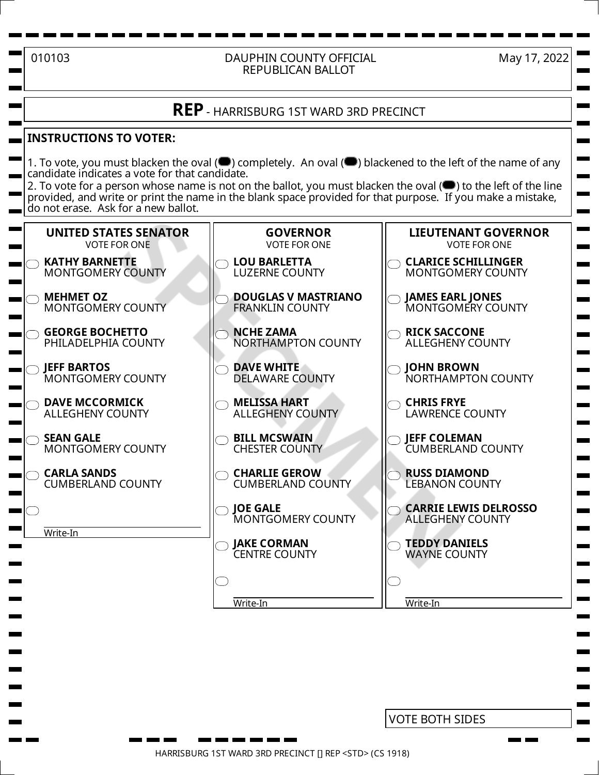## 010103 DAUPHIN COUNTY OFFICIAL REPUBLICAN BALLOT

May 17, 2022

## **REP**- HARRISBURG 1ST WARD 3RD PRECINCT

## **INSTRUCTIONS TO VOTER:**

1. To vote, you must blacken the oval  $(\blacksquare)$  completely. An oval  $(\blacksquare)$  blackened to the left of the name of any candidate indicates a vote for that candidate.

2. To vote for a person whose name is not on the ballot, you must blacken the oval  $($ **)** to the left of the line provided, and write or print the name in the blank space provided for that purpose. If you make a mistake, do not erase. Ask for a new ballot.